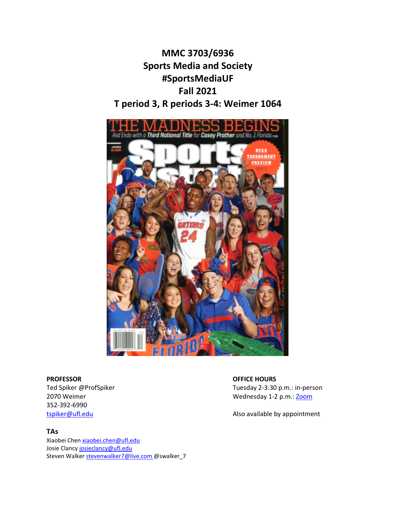# **MMC 3703/6936 Sports Media and Society #SportsMediaUF Fall 2021 T period 3, R periods 3-4: Weimer 1064**



**PROFESSOR OFFICE HOURS** 352-392-6990

# **TAs**

Xiaobei Chen [xiaobei.chen@ufl.edu](mailto:xiaobei.chen@ufl.edu) Josie Clanc[y josieclancy@ufl.edu](mailto:josieclancy@ufl.edu) Steven Walker [stevenwalker7@live.com](mailto:stevenwalker7@live.com) @swalker\_7

Ted Spiker @ProfSpiker **Tuesday 2-3:30 p.m.**: in-person 2070 Weimer Wednesday 1-2 p.m.[: Zoom](https://ufl.zoom.us/j/99791014408?pwd=eXg1aFJxbzlQTHk2M0pwcE1MUnVRUT09)

[tspiker@ufl.edu](mailto:tspiker@ufl.edu) and a state of the Also available by appointment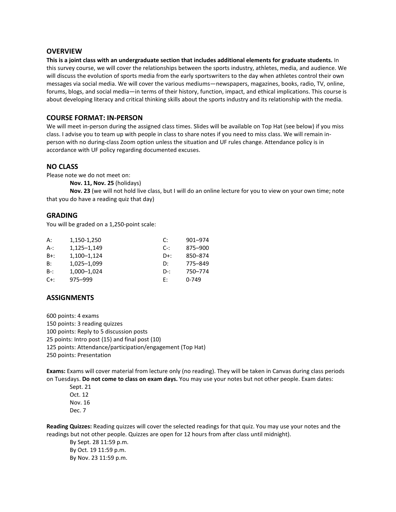#### **OVERVIEW**

**This is a joint class with an undergraduate section that includes additional elements for graduate students.** In this survey course, we will cover the relationships between the sports industry, athletes, media, and audience. We will discuss the evolution of sports media from the early sportswriters to the day when athletes control their own messages via social media. We will cover the various mediums—newspapers, magazines, books, radio, TV, online, forums, blogs, and social media—in terms of their history, function, impact, and ethical implications. This course is about developing literacy and critical thinking skills about the sports industry and its relationship with the media.

#### **COURSE FORMAT: IN-PERSON**

We will meet in-person during the assigned class times. Slides will be available on Top Hat (see below) if you miss class. I advise you to team up with people in class to share notes if you need to miss class. We will remain inperson with no during-class Zoom option unless the situation and UF rules change. Attendance policy is in accordance with UF policy regarding documented excuses.

#### **NO CLASS**

Please note we do not meet on:

**Nov. 11, Nov. 25** (holidays)

**Nov. 23** (we will not hold live class, but I will do an online lecture for you to view on your own time; note that you do have a reading quiz that day)

#### **GRADING**

You will be graded on a 1,250-point scale:

| А:     | 1,150-1,250 | C:     | 901-974 |
|--------|-------------|--------|---------|
| A-:    | 1,125-1,149 | $C-1$  | 875-900 |
| $B+$ : | 1,100-1,124 | $D+$ : | 850-874 |
| B:     | 1,025-1,099 | D:     | 775-849 |
| $B-$ : | 1.000-1.024 | $D-1$  | 750-774 |
| $C+$ : | 975–999     | F:     | $0-749$ |
|        |             |        |         |

#### **ASSIGNMENTS**

600 points: 4 exams 150 points: 3 reading quizzes 100 points: Reply to 5 discussion posts 25 points: Intro post (15) and final post (10) 125 points: Attendance/participation/engagement (Top Hat) 250 points: Presentation

**Exams:** Exams will cover material from lecture only (no reading). They will be taken in Canvas during class periods on Tuesdays. **Do not come to class on exam days.** You may use your notes but not other people. Exam dates:

Sept. 21 Oct. 12 Nov. 16 Dec. 7

**Reading Quizzes:** Reading quizzes will cover the selected readings for that quiz. You may use your notes and the readings but not other people. Quizzes are open for 12 hours from after class until midnight).

By Sept. 28 11:59 p.m. By Oct. 19 11:59 p.m. By Nov. 23 11:59 p.m.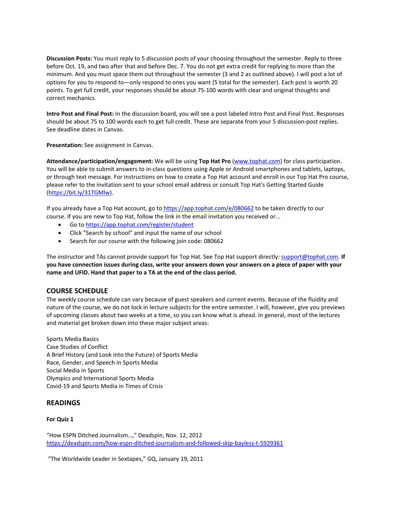**Discussion Posts:** You must reply to 5 discussion posts of your choosing throughout the semester. Reply to three before Oct. 19, and two after that and before Dec. 7. You do not get extra credit for replying to more than the minimum. And you must space them out throughout the semester (3 and 2 as outlined above). I will post a lot of options for you to respond to—only respond to ones you want (5 total for the semester). Each post is worth 20 points. To get full credit, your responses should be about 75-100 words with clear and original thoughts and correct mechanics.

**Intro Post and Final Post:** In the discussion board, you will see a post labeled Intro Post and Final Post. Responses should be about 75 to 100 words each to get full credit. These are separate from your 5 discussion-post replies. See deadline dates in Canvas.

**Presentation:** See assignment in Canvas.

**Attendance/participation/engagement:** We will be using **Top Hat Pro** [\(www.tophat.com\)](https://urldefense.proofpoint.com/v2/url?u=https-3A__t.tophatmonocle.com_t_9954_c_9669deeb-2D7937-2D4fee-2Dba75-2D91bd9abd7142_NB2HI4B2F4XXO53XFZ2G64DIMF2C4Y3PNU7XGYTSMM6TCU3OOJXWGSCRHBWWGT22NBBWMZDWJFFVKYSBEUZUIJJTIQSTENDSIVPWY3LWJNTVIWBXG53XK5KGKFIWGM2XKESTGRBFGNCA-3D-3D-3D-3D_www-2Dtophat-2Dcom&d=DwMFaQ&c=sJ6xIWYx-zLMB3EPkvcnVg&r=lWL21915tg4laPrsiogDfgriigUB8tA56h7WX0xvwPs&m=Jy8CQLS95pPTE0JGDZqBOVaC5Qxyl3qoPT14taSwTl4&s=rTa1TN6nuaQYPAh7RG_8YlWdrNnIScKZ3t9QF4eVBHU&e=) for class participation. You will be able to submit answers to in-class questions using Apple or Android smartphones and tablets, laptops, or through text message. For instructions on how to create a Top Hat account and enroll in our Top Hat Pro course, please refer to the invitation sent to your school email address or consult Top Hat's Getting Started Guide [\(https://bit.ly/31TGMlw\)](https://urldefense.proofpoint.com/v2/url?u=https-3A__t.tophatmonocle.com_t_9954_c_9669deeb-2D7937-2D4fee-2Dba75-2D91bd9abd7142_NB2HI4DTHIXS6YTJOQXGY6JPGMYVIR2NNR3Q-3D-3D-3D-3D_bit-2Dly-2D31tgmlw&d=DwMFaQ&c=sJ6xIWYx-zLMB3EPkvcnVg&r=lWL21915tg4laPrsiogDfgriigUB8tA56h7WX0xvwPs&m=Jy8CQLS95pPTE0JGDZqBOVaC5Qxyl3qoPT14taSwTl4&s=2o9RVy1COqnTTTZ5fc_AZDrLHd8LYIwi4nsu_4bWmlQ&e=).

If you already have a Top Hat account, go to [https://app.tophat.com/e/080662](https://urldefense.proofpoint.com/v2/url?u=https-3A__t.tophatmonocle.com_t_9954_c_9669deeb-2D7937-2D4fee-2Dba75-2D91bd9abd7142_NB2HI4DTHIXS6YLQOAXHI33QNBQXILTDN5WS6ZJPGA4DANRWGI-3D-3D-3D-3D-3D-3D_app-2Dtophat-2Dcom-2De-2D080662&d=DwMFaQ&c=sJ6xIWYx-zLMB3EPkvcnVg&r=lWL21915tg4laPrsiogDfgriigUB8tA56h7WX0xvwPs&m=Jy8CQLS95pPTE0JGDZqBOVaC5Qxyl3qoPT14taSwTl4&s=xWdWe5AYJGHlk1JQxO_XL0ADTqlrzyP7A4nqWvJG-H0&e=) to be taken directly to our course. If you are new to Top Hat, follow the link in the email invitation you received or...

- Go t[o https://app.tophat.com/register/student](https://urldefense.proofpoint.com/v2/url?u=https-3A__t.tophatmonocle.com_t_9954_c_9669deeb-2D7937-2D4fee-2Dba75-2D91bd9abd7142_NB2HI4DTHIXS6YLQOAXHI33QNBQXILTDN5WS64TFM5UXG5DFOIXXG5DVMRSW45A-3D_app-2Dtophat-2Dcom-2Dregister-2Dstudent&d=DwMFaQ&c=sJ6xIWYx-zLMB3EPkvcnVg&r=lWL21915tg4laPrsiogDfgriigUB8tA56h7WX0xvwPs&m=Jy8CQLS95pPTE0JGDZqBOVaC5Qxyl3qoPT14taSwTl4&s=pdVhiOgCHcP8UJgWMiz2cwcrKPIQfJXxwcwVb6kFoJ8&e=)
- Click "Search by school" and input the name of our school
- Search for our course with the following join code: 080662

The instructor and TAs cannot provide support for Top Hat. See Top Hat support directly: [support@tophat.com.](mailto:support@tophat.com) **If you have connection issues during class, write your answers down your answers on a piece of paper with your name and UFID. Hand that paper to a TA at the end of the class period.**

# **COURSE SCHEDULE**

The weekly course schedule can vary because of guest speakers and current events. Because of the fluidity and nature of the course, we do not lock in lecture subjects for the entire semester. I will, however, give you previews of upcoming classes about two weeks at a time, so you can know what is ahead. In general, most of the lectures and material get broken down into these major subject areas:

Sports Media Basics Case Studies of Conflict A Brief History (and Look into the Future) of Sports Media Race, Gender, and Speech in Sports Media Social Media in Sports Olympics and International Sports Media Covid-19 and Sports Media in Times of Crisis

# **READINGS**

#### **For Quiz 1**

"How ESPN Ditched Journalism…," Deadspin, Nov. 12, 2012 <https://deadspin.com/how-espn-ditched-journalism-and-followed-skip-bayless-t-5929361>

"The Worldwide Leader in Sextapes," GQ, January 19, 2011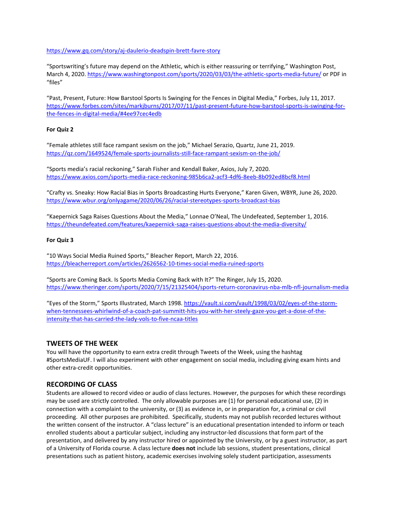#### <https://www.gq.com/story/aj-daulerio-deadspin-brett-favre-story>

"Sportswriting's future may depend on the Athletic, which is either reassuring or terrifying," Washington Post, March 4, 2020[. https://www.washingtonpost.com/sports/2020/03/03/the-athletic-sports-media-future/](https://www.washingtonpost.com/sports/2020/03/03/the-athletic-sports-media-future/) or PDF in "files"

"Past, Present, Future: How Barstool Sports Is Swinging for the Fences in Digital Media," Forbes, July 11, 2017. [https://www.forbes.com/sites/markjburns/2017/07/11/past-present-future-how-barstool-sports-is-swinging-for](https://www.forbes.com/sites/markjburns/2017/07/11/past-present-future-how-barstool-sports-is-swinging-for-the-fences-in-digital-media/#4ee97cec4edb)[the-fences-in-digital-media/#4ee97cec4edb](https://www.forbes.com/sites/markjburns/2017/07/11/past-present-future-how-barstool-sports-is-swinging-for-the-fences-in-digital-media/#4ee97cec4edb)

#### **For Quiz 2**

"Female athletes still face rampant sexism on the job," Michael Serazio, Quartz, June 21, 2019. <https://qz.com/1649524/female-sports-journalists-still-face-rampant-sexism-on-the-job/>

"Sports media's racial reckoning," Sarah Fisher and Kendall Baker, Axios, July 7, 2020. <https://www.axios.com/sports-media-race-reckoning-985b6ca2-acf3-4df6-8eeb-8b092ed8bcf8.html>

"Crafty vs. Sneaky: How Racial Bias in Sports Broadcasting Hurts Everyone," Karen Given, WBYR, June 26, 2020. <https://www.wbur.org/onlyagame/2020/06/26/racial-stereotypes-sports-broadcast-bias>

"Kaepernick Saga Raises Questions About the Media," Lonnae O'Neal, The Undefeated, September 1, 2016. <https://theundefeated.com/features/kaepernick-saga-raises-questions-about-the-media-diversity/>

#### **For Quiz 3**

"10 Ways Social Media Ruined Sports," Bleacher Report, March 22, 2016. <https://bleacherreport.com/articles/2626562-10-times-social-media-ruined-sports>

"Sports are Coming Back. Is Sports Media Coming Back with It?" The Ringer, July 15, 2020. <https://www.theringer.com/sports/2020/7/15/21325404/sports-return-coronavirus-nba-mlb-nfl-journalism-media>

"Eyes of the Storm," Sports Illustrated, March 1998. [https://vault.si.com/vault/1998/03/02/eyes-of-the-storm](https://vault.si.com/vault/1998/03/02/eyes-of-the-storm-when-tennessees-whirlwind-of-a-coach-pat-summitt-hits-you-with-her-steely-gaze-you-get-a-dose-of-the-intensity-that-has-carried-the-lady-vols-to-five-ncaa-titles)[when-tennessees-whirlwind-of-a-coach-pat-summitt-hits-you-with-her-steely-gaze-you-get-a-dose-of-the](https://vault.si.com/vault/1998/03/02/eyes-of-the-storm-when-tennessees-whirlwind-of-a-coach-pat-summitt-hits-you-with-her-steely-gaze-you-get-a-dose-of-the-intensity-that-has-carried-the-lady-vols-to-five-ncaa-titles)[intensity-that-has-carried-the-lady-vols-to-five-ncaa-titles](https://vault.si.com/vault/1998/03/02/eyes-of-the-storm-when-tennessees-whirlwind-of-a-coach-pat-summitt-hits-you-with-her-steely-gaze-you-get-a-dose-of-the-intensity-that-has-carried-the-lady-vols-to-five-ncaa-titles)

#### **TWEETS OF THE WEEK**

You will have the opportunity to earn extra credit through Tweets of the Week, using the hashtag #SportsMediaUF. I will also experiment with other engagement on social media, including giving exam hints and other extra-credit opportunities.

# **RECORDING OF CLASS**

Students are allowed to record video or audio of class lectures. However, the purposes for which these recordings may be used are strictly controlled. The only allowable purposes are (1) for personal educational use, (2) in connection with a complaint to the university, or (3) as evidence in, or in preparation for, a criminal or civil proceeding. All other purposes are prohibited. Specifically, students may not publish recorded lectures without the written consent of the instructor. A "class lecture" is an educational presentation intended to inform or teach enrolled students about a particular subject, including any instructor-led discussions that form part of the presentation, and delivered by any instructor hired or appointed by the University, or by a guest instructor, as part of a University of Florida course. A class lecture **does not** include lab sessions, student presentations, clinical presentations such as patient history, academic exercises involving solely student participation, assessments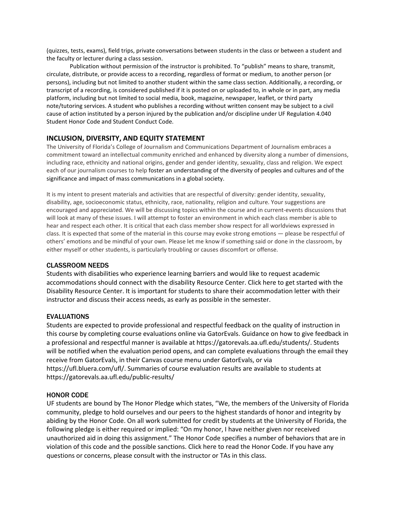(quizzes, tests, exams), field trips, private conversations between students in the class or between a student and the faculty or lecturer during a class session.

Publication without permission of the instructor is prohibited. To "publish" means to share, transmit, circulate, distribute, or provide access to a recording, regardless of format or medium, to another person (or persons), including but not limited to another student within the same class section. Additionally, a recording, or transcript of a recording, is considered published if it is posted on or uploaded to, in whole or in part, any media platform, including but not limited to social media, book, magazine, newspaper, leaflet, or third party note/tutoring services. A student who publishes a recording without written consent may be subject to a civil cause of action instituted by a person injured by the publication and/or discipline under UF Regulation 4.040 Student Honor Code and Student Conduct Code.

# **INCLUSION, DIVERSITY, AND EQUITY STATEMENT**

The University of Florida's College of Journalism and Communications Department of Journalism embraces a commitment toward an intellectual community enriched and enhanced by diversity along a number of dimensions, including race, ethnicity and national origins, gender and gender identity, sexuality, class and religion. We expect each of our journalism courses to help foster an understanding of the diversity of peoples and cultures and of the significance and impact of mass communications in a global society.

It is my intent to present materials and activities that are respectful of diversity: gender identity, sexuality, disability, age, socioeconomic status, ethnicity, race, nationality, religion and culture. Your suggestions are encouraged and appreciated. We will be discussing topics within the course and in current-events discussions that will look at many of these issues. I will attempt to foster an environment in which each class member is able to hear and respect each other. It is critical that each class member show respect for all worldviews expressed in class. It is expected that some of the material in this course may evoke strong emotions — please be respectful of others' emotions and be mindful of your own. Please let me know if something said or done in the classroom, by either myself or other students, is particularly troubling or causes discomfort or offense.

#### CLASSROOM NEEDS

Students with disabilities who experience learning barriers and would like to request academic accommodations should connect with the disability Resource Center. Click here to get started with the Disability Resource Center. It is important for students to share their accommodation letter with their instructor and discuss their access needs, as early as possible in the semester.

# **EVALUATIONS**

Students are expected to provide professional and respectful feedback on the quality of instruction in this course by completing course evaluations online via GatorEvals. Guidance on how to give feedback in a professional and respectful manner is available at https://gatorevals.aa.ufl.edu/students/. Students will be notified when the evaluation period opens, and can complete evaluations through the email they receive from GatorEvals, in their Canvas course menu under GatorEvals, or via https://ufl.bluera.com/ufl/. Summaries of course evaluation results are available to students at https://gatorevals.aa.ufl.edu/public-results/

# HONOR CODE

UF students are bound by The Honor Pledge which states, "We, the members of the University of Florida community, pledge to hold ourselves and our peers to the highest standards of honor and integrity by abiding by the Honor Code. On all work submitted for credit by students at the University of Florida, the following pledge is either required or implied: "On my honor, I have neither given nor received unauthorized aid in doing this assignment." The Honor Code specifies a number of behaviors that are in violation of this code and the possible sanctions. Click here to read the Honor Code. If you have any questions or concerns, please consult with the instructor or TAs in this class.